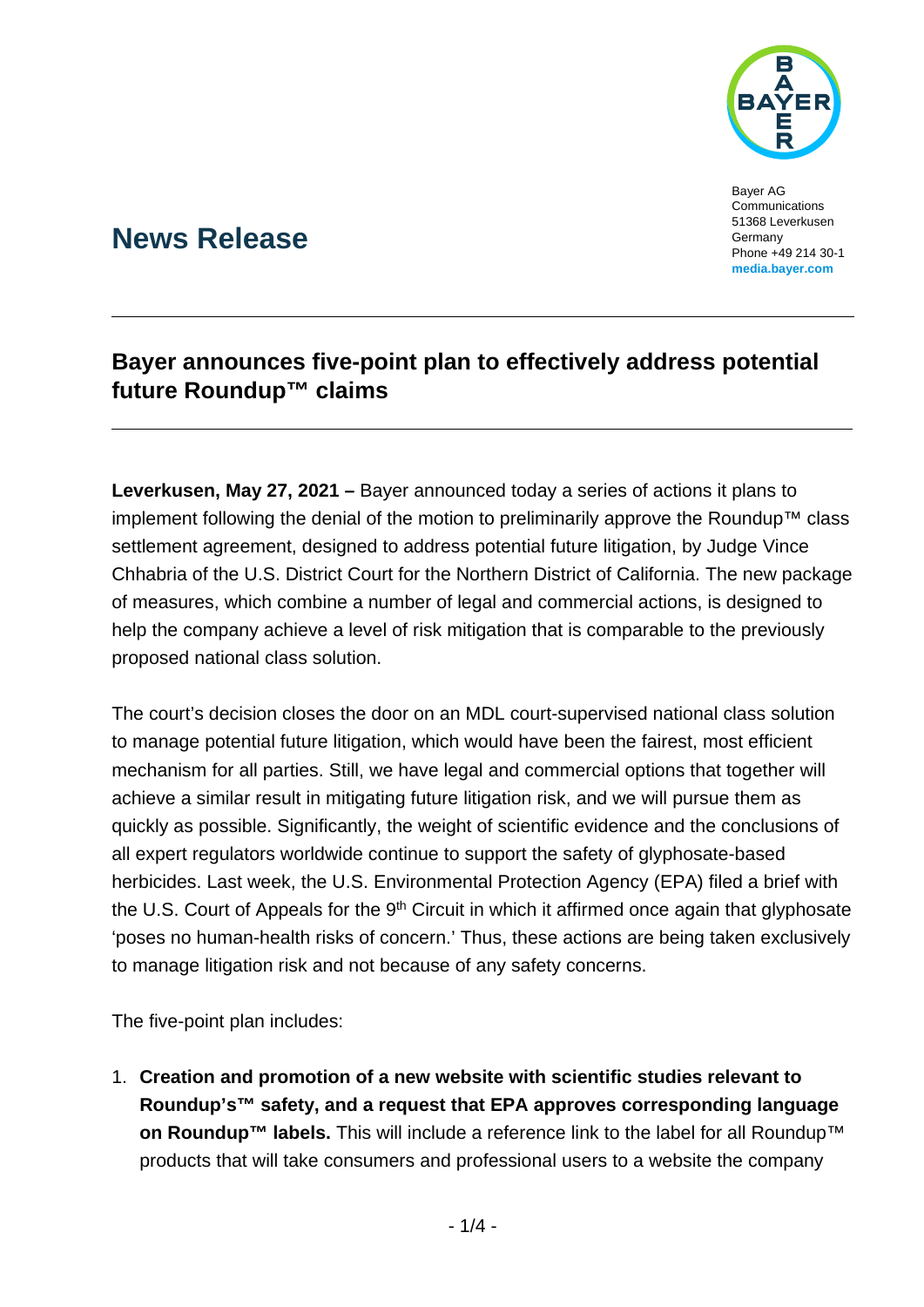

Bayer AG Communications 51368 Leverkusen Germany Phone +49 214 30-1 **[media.bayer.com](http://media.bayer.com/)**

# **News Release**

## **Bayer announces five-point plan to effectively address potential future Roundup™ claims**

**Leverkusen, May 27, 2021 –** Bayer announced today a series of actions it plans to implement following the denial of the motion to preliminarily approve the Roundup™ class settlement agreement, designed to address potential future litigation, by Judge Vince Chhabria of the U.S. District Court for the Northern District of California. The new package of measures, which combine a number of legal and commercial actions, is designed to help the company achieve a level of risk mitigation that is comparable to the previously proposed national class solution.

The court's decision closes the door on an MDL court-supervised national class solution to manage potential future litigation, which would have been the fairest, most efficient mechanism for all parties. Still, we have legal and commercial options that together will achieve a similar result in mitigating future litigation risk, and we will pursue them as quickly as possible. Significantly, the weight of scientific evidence and the conclusions of all expert regulators worldwide continue to support the safety of glyphosate-based herbicides. Last week, the U.S. Environmental Protection Agency (EPA) filed a brief with the U.S. Court of Appeals for the 9<sup>th</sup> Circuit in which it affirmed once again that glyphosate 'poses no human-health risks of concern.' Thus, these actions are being taken exclusively to manage litigation risk and not because of any safety concerns.

The five-point plan includes:

1. **Creation and promotion of a new website with scientific studies relevant to Roundup's™ safety, and a request that EPA approves corresponding language on Roundup™ labels.** This will include a reference link to the label for all Roundup<sup>™</sup> products that will take consumers and professional users to a website the company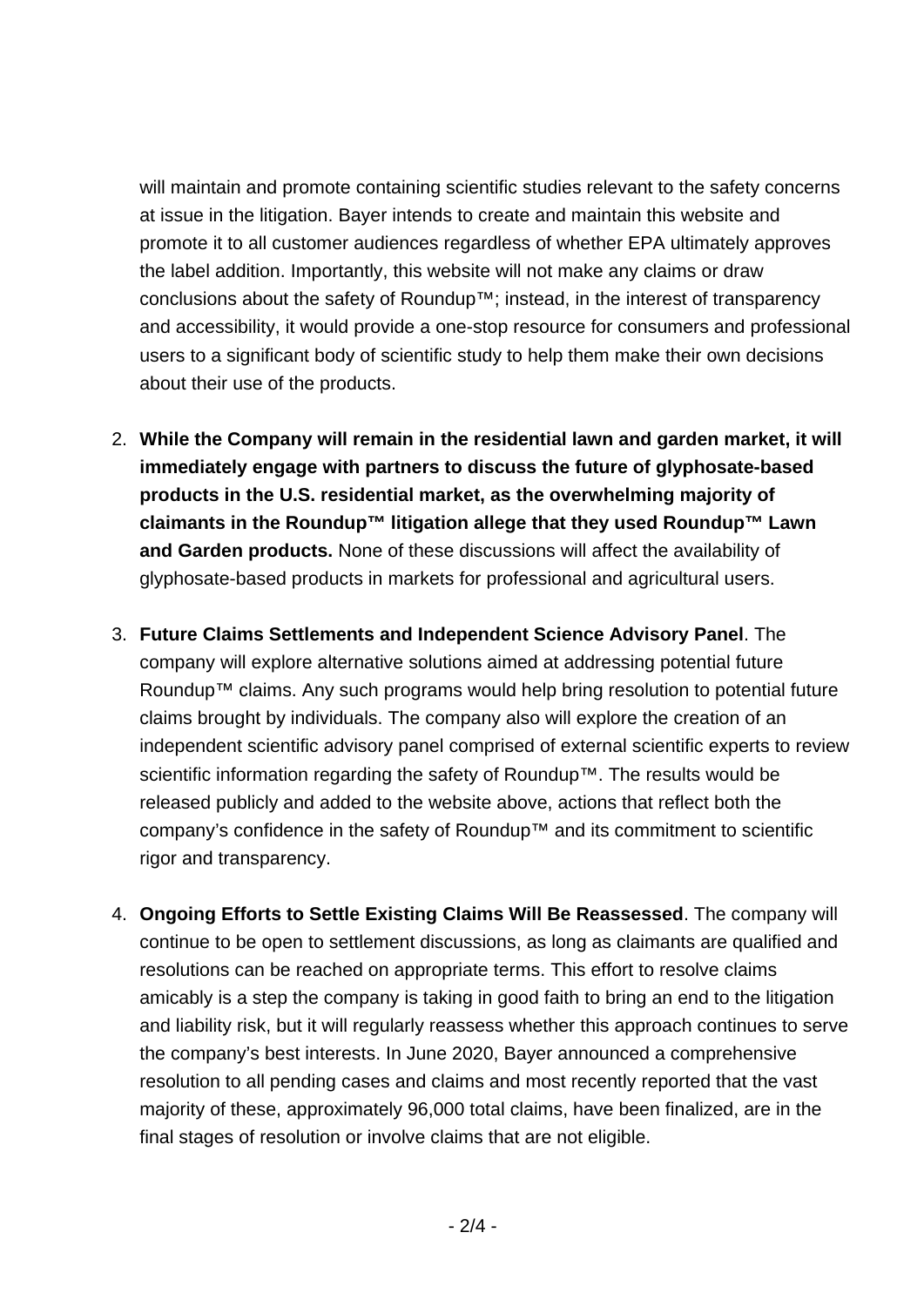will maintain and promote containing scientific studies relevant to the safety concerns at issue in the litigation. Bayer intends to create and maintain this website and promote it to all customer audiences regardless of whether EPA ultimately approves the label addition. Importantly, this website will not make any claims or draw conclusions about the safety of Roundup™; instead, in the interest of transparency and accessibility, it would provide a one-stop resource for consumers and professional users to a significant body of scientific study to help them make their own decisions about their use of the products.

- 2. **While the Company will remain in the residential lawn and garden market, it will immediately engage with partners to discuss the future of glyphosate-based products in the U.S. residential market, as the overwhelming majority of claimants in the Roundup™ litigation allege that they used Roundup™ Lawn and Garden products.** None of these discussions will affect the availability of glyphosate-based products in markets for professional and agricultural users.
- 3. **Future Claims Settlements and Independent Science Advisory Panel**. The company will explore alternative solutions aimed at addressing potential future Roundup™ claims. Any such programs would help bring resolution to potential future claims brought by individuals. The company also will explore the creation of an independent scientific advisory panel comprised of external scientific experts to review scientific information regarding the safety of Roundup™. The results would be released publicly and added to the website above, actions that reflect both the company's confidence in the safety of Roundup™ and its commitment to scientific rigor and transparency.
- 4. **Ongoing Efforts to Settle Existing Claims Will Be Reassessed**. The company will continue to be open to settlement discussions, as long as claimants are qualified and resolutions can be reached on appropriate terms. This effort to resolve claims amicably is a step the company is taking in good faith to bring an end to the litigation and liability risk, but it will regularly reassess whether this approach continues to serve the company's best interests. In June 2020, Bayer announced a comprehensive resolution to all pending cases and claims and most recently reported that the vast majority of these, approximately 96,000 total claims, have been finalized, are in the final stages of resolution or involve claims that are not eligible.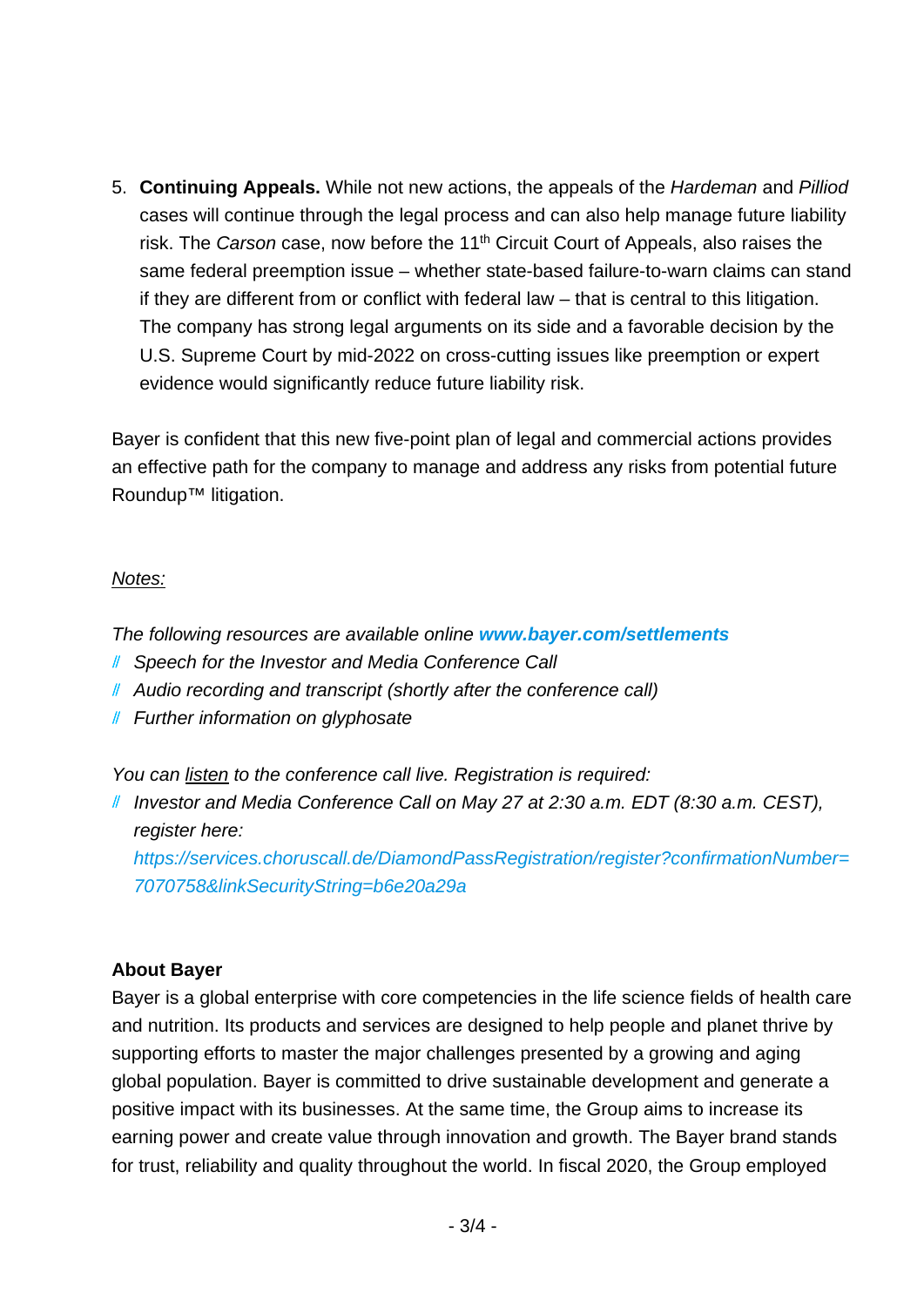5. **Continuing Appeals.** While not new actions, the appeals of the *Hardeman* and *Pilliod*  cases will continue through the legal process and can also help manage future liability risk. The *Carson* case, now before the 11th Circuit Court of Appeals, also raises the same federal preemption issue – whether state-based failure-to-warn claims can stand if they are different from or conflict with federal law – that is central to this litigation. The company has strong legal arguments on its side and a favorable decision by the U.S. Supreme Court by mid-2022 on cross-cutting issues like preemption or expert evidence would significantly reduce future liability risk.

Bayer is confident that this new five-point plan of legal and commercial actions provides an effective path for the company to manage and address any risks from potential future Roundup™ litigation.

### *Notes:*

*The following resources are available online [www.bayer.com/settlements](http://www.bayer.com/settlements)*

- *Speech for the Investor and Media Conference Call*
- *Audio recording and transcript (shortly after the conference call)*
- *Further information on glyphosate*

*You can listen to the conference call live. Registration is required:*

*Investor and Media Conference Call on May 27 at 2:30 a.m. EDT (8:30 a.m. CEST), register here:*

*[https://services.choruscall.de/DiamondPassRegistration/register?confirmationNumber=](https://services.choruscall.de/DiamondPassRegistration/register?confirmationNumber=7070758&linkSecurityString=b6e20a29a) [7070758&linkSecurityString=b6e20a29a](https://services.choruscall.de/DiamondPassRegistration/register?confirmationNumber=7070758&linkSecurityString=b6e20a29a)*

### **About Bayer**

Bayer is a global enterprise with core competencies in the life science fields of health care and nutrition. Its products and services are designed to help people and planet thrive by supporting efforts to master the major challenges presented by a growing and aging global population. Bayer is committed to drive sustainable development and generate a positive impact with its businesses. At the same time, the Group aims to increase its earning power and create value through innovation and growth. The Bayer brand stands for trust, reliability and quality throughout the world. In fiscal 2020, the Group employed